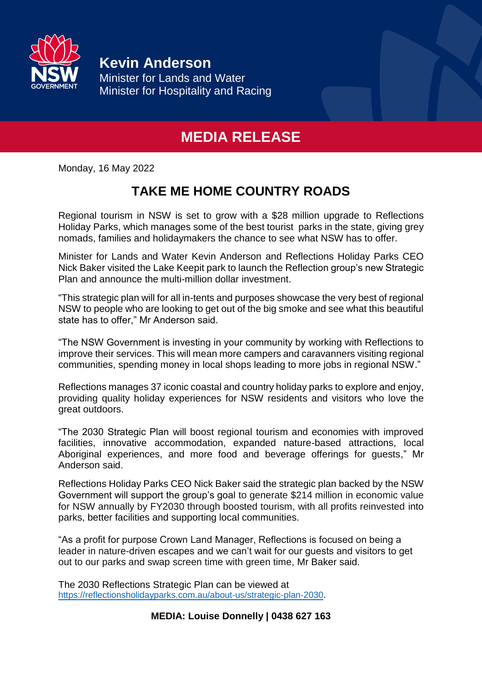

**Kevin Anderson**

Minister for Lands and Water Minister for Hospitality and Racing

## **MEDIA RELEASE**

Monday, 16 May 2022

## **TAKE ME HOME COUNTRY ROADS**

Regional tourism in NSW is set to grow with a \$28 million upgrade to Reflections Holiday Parks, which manages some of the best tourist parks in the state, giving grey nomads, families and holidaymakers the chance to see what NSW has to offer.

Minister for Lands and Water Kevin Anderson and Reflections Holiday Parks CEO Nick Baker visited the Lake Keepit park to launch the Reflection group's new Strategic Plan and announce the multi-million dollar investment.

"This strategic plan will for all in-tents and purposes showcase the very best of regional NSW to people who are looking to get out of the big smoke and see what this beautiful state has to offer," Mr Anderson said.

"The NSW Government is investing in your community by working with Reflections to improve their services. This will mean more campers and caravanners visiting regional communities, spending money in local shops leading to more jobs in regional NSW."

Reflections manages 37 iconic coastal and country holiday parks to explore and enjoy, providing quality holiday experiences for NSW residents and visitors who love the great outdoors.

"The 2030 Strategic Plan will boost regional tourism and economies with improved facilities, innovative accommodation, expanded nature-based attractions, local Aboriginal experiences, and more food and beverage offerings for guests," Mr Anderson said.

Reflections Holiday Parks CEO Nick Baker said the strategic plan backed by the NSW Government will support the group's goal to generate \$214 million in economic value for NSW annually by FY2030 through boosted tourism, with all profits reinvested into parks, better facilities and supporting local communities.

"As a profit for purpose Crown Land Manager, Reflections is focused on being a leader in nature-driven escapes and we can't wait for our guests and visitors to get out to our parks and swap screen time with green time, Mr Baker said.

The 2030 Reflections Strategic Plan can be viewed at [https://reflectionsholidayparks.com.au/about-us/strategic-plan-2030.](https://aus01.safelinks.protection.outlook.com/?url=https%3A%2F%2Freflectionsholidayparks.com.au%2Fabout-us%2Fstrategic-plan-2030&data=05%7C01%7CLouise.Donnelly%40minister.nsw.gov.au%7C9516176bda1d4eda1f4708da33b0c87b%7C027a78031cbf40129b8cb068ce34ea56%7C0%7C0%7C637879132499173217%7CUnknown%7CTWFpbGZsb3d8eyJWIjoiMC4wLjAwMDAiLCJQIjoiV2luMzIiLCJBTiI6Ik1haWwiLCJXVCI6Mn0%3D%7C3000%7C%7C%7C&sdata=IxyPM4p1AepVZHL%2BYFnvZsP8SH1kNpEciLwE%2B44poVg%3D&reserved=0)

### **MEDIA: Louise Donnelly | 0438 627 163**